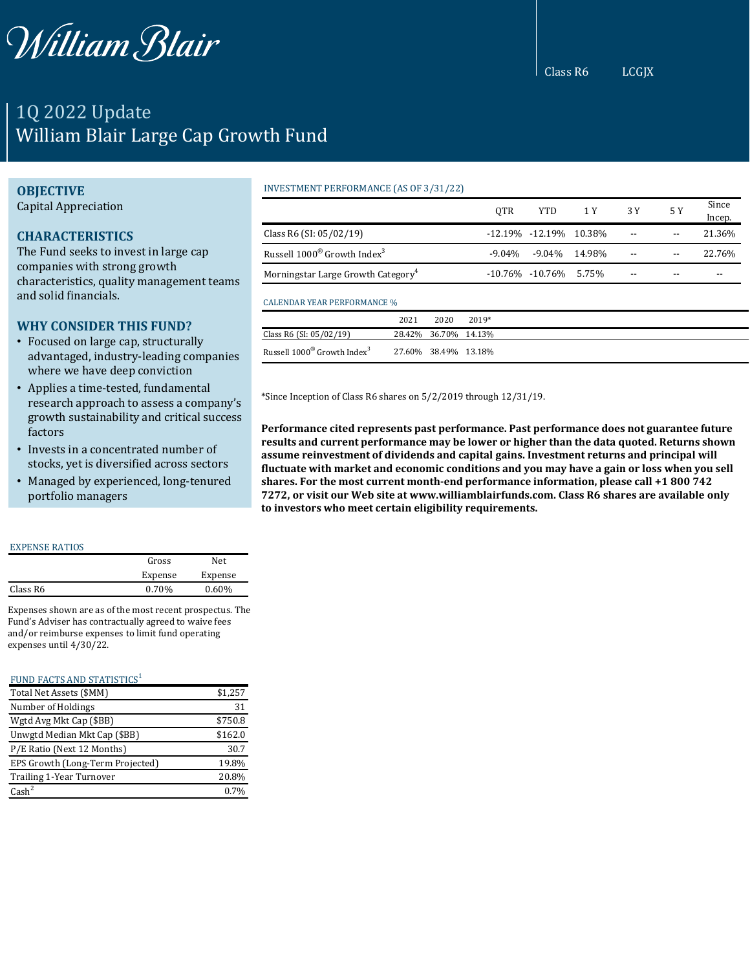

## 1Q 2022 Update William Blair Large Cap Growth Fund

## **OBJECTIVE**

Capital Appreciation

### **CHARACTERISTICS**

The Fund seeks to invest in large cap companies with strong growth characteristics, quality management teams and solid financials.

## **WHY CONSIDER THIS FUND?**

- Focused on large cap, structurally advantaged, industry-leading companies where we have deep conviction
- Applies a time-tested, fundamental research approach to assess a company's growth sustainability and critical success factors
- Invests in a concentrated number of stocks, yet is diversified across sectors
- Managed by experienced, long-tenured portfolio managers

#### EXPENSE RATIOS

|          | Gross   | Net      |
|----------|---------|----------|
|          | Expense | Expense  |
| Class R6 | 0.70%   | $0.60\%$ |
|          |         |          |

Expenses shown are as of the most recent prospectus. The Fund's Adviser has contractually agreed to waive fees and/or reimburse expenses to limit fund operating expenses until 4/30/22.

#### FUND FACTS AND STATISTICS<sup>1</sup>

| Total Net Assets (\$MM)          | \$1,257 |
|----------------------------------|---------|
| Number of Holdings               | 31      |
| Wgtd Avg Mkt Cap (\$BB)          | \$750.8 |
| Unwgtd Median Mkt Cap (\$BB)     | \$162.0 |
| P/E Ratio (Next 12 Months)       | 30.7    |
| EPS Growth (Long-Term Projected) | 19.8%   |
| Trailing 1-Year Turnover         | 20.8%   |
| $\text{Cash}^2$                  | 0.7%    |

## INVESTMENT PERFORMANCE (AS OF 3/31/22)

|                                                     | <b>OTR</b> | <b>YTD</b>                   | 1 Y    | 3 Y | 5 Y | Since<br>Incep. |
|-----------------------------------------------------|------------|------------------------------|--------|-----|-----|-----------------|
| Class R6 (SI: $05/02/19$ )                          |            | $-12.19\% -12.19\% -10.38\%$ |        | $-$ |     | 21.36%          |
| Russell 1000 <sup>®</sup> Growth Index <sup>3</sup> | $-9.04\%$  | $-9.04\%$                    | 14.98% |     |     | 22.76%          |
| Morningstar Large Growth Category <sup>4</sup>      |            | $-10.76\% -10.76\% -5.75\%$  |        | --  |     | --              |

|                                                | 2021 | 2020 | $2019*$                 |
|------------------------------------------------|------|------|-------------------------|
| Class R6 (SI: 05/02/19)                        |      |      | 28.42\% 36.70\% 14.13\% |
| Russell $1000^\circ$ Growth Index <sup>3</sup> |      |      | 27.60% 38.49% 13.18%    |

\*Since Inception of Class R6 shares on 5/2/2019 through 12/31/19.

**Performance cited represents past performance. Past performance does not guarantee future results and current performance may be lower or higher than the data quoted. Returns shown assume reinvestment of dividends and capital gains. Investment returns and principal will fluctuate with market and economic conditions and you may have a gain or loss when you sell shares. For the most current month-end performance information, please call +1 800 742 7272, or visit our Web site at www.williamblairfunds.com. Class R6 shares are available only to investors who meet certain eligibility requirements.**